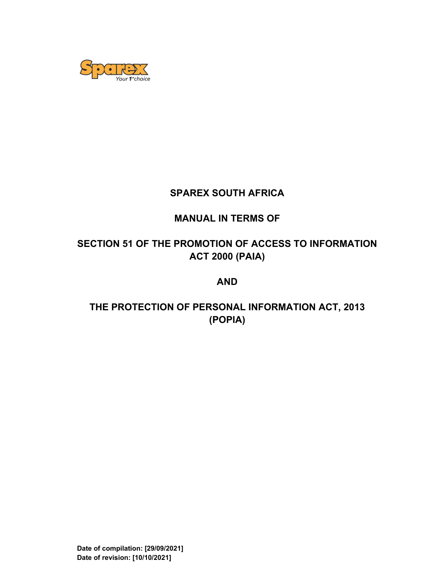

# **SPAREX SOUTH AFRICA**

# **MANUAL IN TERMS OF**

# **SECTION 51 OF THE PROMOTION OF ACCESS TO INFORMATION ACT 2000 (PAIA)**

# **AND**

# **THE PROTECTION OF PERSONAL INFORMATION ACT, 2013 (POPIA)**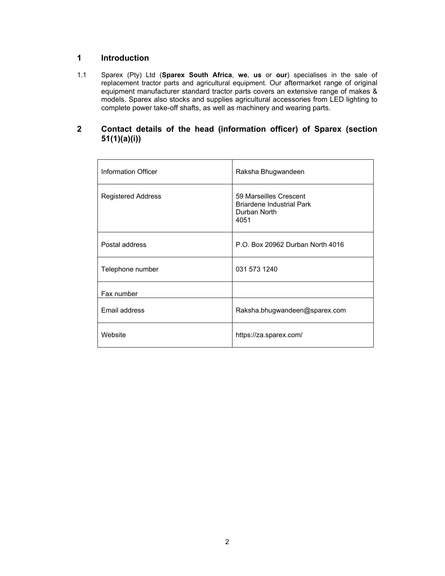# **1 Introduction**

1.1 Sparex (Pty) Ltd (**Sparex South Africa**, **we**, **us** or **our**) specialises in the sale of replacement tractor parts and agricultural equipment. Our aftermarket range of original equipment manufacturer standard tractor parts covers an extensive range of makes & models. Sparex also stocks and supplies agricultural accessories from LED lighting to complete power take-off shafts, as well as machinery and wearing parts.

# **2 Contact details of the head (information officer) of Sparex (section 51(1)(a)(i))**

| Information Officer       | Raksha Bhugwandeen                                                                 |  |
|---------------------------|------------------------------------------------------------------------------------|--|
| <b>Registered Address</b> | 59 Marseilles Crescent<br><b>Briardene Industrial Park</b><br>Durban North<br>4051 |  |
| Postal address            | P.O. Box 20962 Durban North 4016                                                   |  |
| Telephone number          | 031 573 1240                                                                       |  |
| Fax number                |                                                                                    |  |
| Email address             | Raksha.bhugwandeen@sparex.com                                                      |  |
| Website                   | https://za.sparex.com/                                                             |  |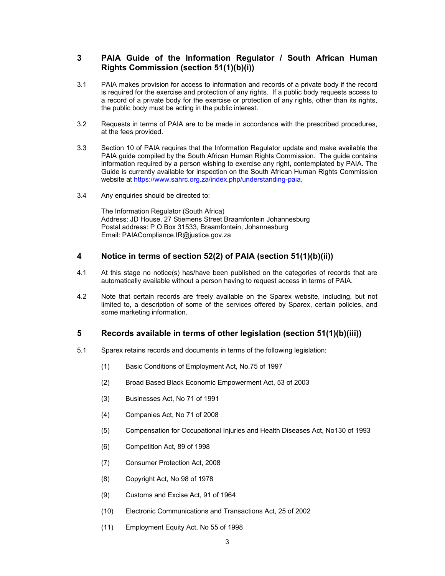# **3 PAIA Guide of the Information Regulator / South African Human Rights Commission (section 51(1)(b)(i))**

- 3.1 PAIA makes provision for access to information and records of a private body if the record is required for the exercise and protection of any rights. If a public body requests access to a record of a private body for the exercise or protection of any rights, other than its rights, the public body must be acting in the public interest.
- 3.2 Requests in terms of PAIA are to be made in accordance with the prescribed procedures, at the fees provided.
- 3.3 Section 10 of PAIA requires that the Information Regulator update and make available the PAIA guide compiled by the South African Human Rights Commission. The guide contains information required by a person wishing to exercise any right, contemplated by PAIA. The Guide is currently available for inspection on the South African Human Rights Commission website at https://www.sahrc.org.za/index.php/understanding-paia.
- 3.4 Any enquiries should be directed to:

The Information Regulator (South Africa) Address: JD House, 27 Stiemens Street Braamfontein Johannesburg Postal address: P O Box 31533, Braamfontein, Johannesburg Email: PAIACompliance.IR@justice.gov.za

#### **4 Notice in terms of section 52(2) of PAIA (section 51(1)(b)(ii))**

- 4.1 At this stage no notice(s) has/have been published on the categories of records that are automatically available without a person having to request access in terms of PAIA.
- 4.2 Note that certain records are freely available on the Sparex website, including, but not limited to, a description of some of the services offered by Sparex, certain policies, and some marketing information.

#### **5 Records available in terms of other legislation (section 51(1)(b)(iii))**

- 5.1 Sparex retains records and documents in terms of the following legislation:
	- (1) Basic Conditions of Employment Act, No.75 of 1997
	- (2) Broad Based Black Economic Empowerment Act, 53 of 2003
	- (3) Businesses Act, No 71 of 1991
	- (4) Companies Act, No 71 of 2008
	- (5) Compensation for Occupational Injuries and Health Diseases Act, No130 of 1993
	- (6) Competition Act, 89 of 1998
	- (7) Consumer Protection Act, 2008
	- (8) Copyright Act, No 98 of 1978
	- (9) Customs and Excise Act, 91 of 1964
	- (10) Electronic Communications and Transactions Act, 25 of 2002
	- (11) Employment Equity Act, No 55 of 1998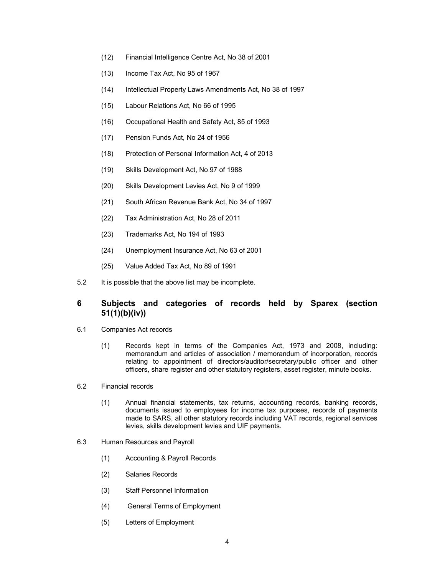- (12) Financial Intelligence Centre Act, No 38 of 2001
- (13) Income Tax Act, No 95 of 1967
- (14) Intellectual Property Laws Amendments Act, No 38 of 1997
- (15) Labour Relations Act, No 66 of 1995
- (16) Occupational Health and Safety Act, 85 of 1993
- (17) Pension Funds Act, No 24 of 1956
- (18) Protection of Personal Information Act, 4 of 2013
- (19) Skills Development Act, No 97 of 1988
- (20) Skills Development Levies Act, No 9 of 1999
- (21) South African Revenue Bank Act, No 34 of 1997
- (22) Tax Administration Act, No 28 of 2011
- (23) Trademarks Act, No 194 of 1993
- (24) Unemployment Insurance Act, No 63 of 2001
- (25) Value Added Tax Act, No 89 of 1991
- 5.2 It is possible that the above list may be incomplete.

### **6 Subjects and categories of records held by Sparex (section 51(1)(b)(iv))**

- 6.1 Companies Act records
	- (1) Records kept in terms of the Companies Act, 1973 and 2008, including: memorandum and articles of association / memorandum of incorporation, records relating to appointment of directors/auditor/secretary/public officer and other officers, share register and other statutory registers, asset register, minute books.
- 6.2 Financial records
	- (1) Annual financial statements, tax returns, accounting records, banking records, documents issued to employees for income tax purposes, records of payments made to SARS, all other statutory records including VAT records, regional services levies, skills development levies and UIF payments.
- 6.3 Human Resources and Payroll
	- (1) Accounting & Payroll Records
	- (2) Salaries Records
	- (3) Staff Personnel Information
	- (4) General Terms of Employment
	- (5) Letters of Employment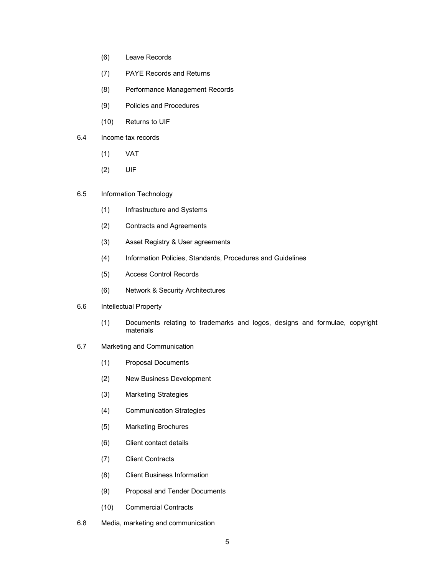- (6) Leave Records
- (7) PAYE Records and Returns
- (8) Performance Management Records
- (9) Policies and Procedures
- (10) Returns to UIF

#### 6.4 Income tax records

- (1) VAT
- (2) UIF
- 6.5 Information Technology
	- (1) Infrastructure and Systems
	- (2) Contracts and Agreements
	- (3) Asset Registry & User agreements
	- (4) Information Policies, Standards, Procedures and Guidelines
	- (5) Access Control Records
	- (6) Network & Security Architectures
- 6.6 Intellectual Property
	- (1) Documents relating to trademarks and logos, designs and formulae, copyright materials
- 6.7 Marketing and Communication
	- (1) Proposal Documents
	- (2) New Business Development
	- (3) Marketing Strategies
	- (4) Communication Strategies
	- (5) Marketing Brochures
	- (6) Client contact details
	- (7) Client Contracts
	- (8) Client Business Information
	- (9) Proposal and Tender Documents
	- (10) Commercial Contracts
- 6.8 Media, marketing and communication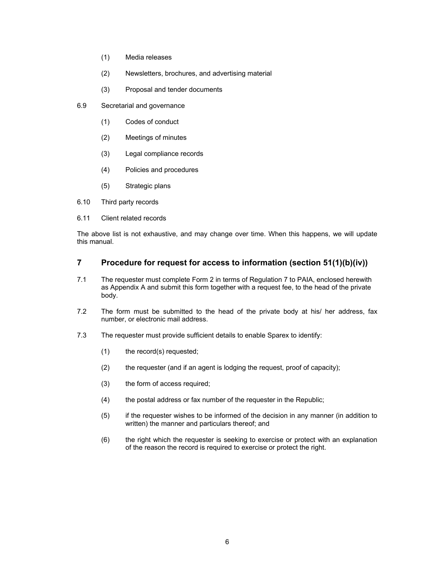- (1) Media releases
- (2) Newsletters, brochures, and advertising material
- (3) Proposal and tender documents
- 6.9 Secretarial and governance
	- (1) Codes of conduct
	- (2) Meetings of minutes
	- (3) Legal compliance records
	- (4) Policies and procedures
	- (5) Strategic plans
- 6.10 Third party records
- 6.11 Client related records

The above list is not exhaustive, and may change over time. When this happens, we will update this manual.

### **7 Procedure for request for access to information (section 51(1)(b)(iv))**

- 7.1 The requester must complete Form 2 in terms of Regulation 7 to PAIA, enclosed herewith as Appendix A and submit this form together with a request fee, to the head of the private body.
- 7.2 The form must be submitted to the head of the private body at his/ her address, fax number, or electronic mail address.
- 7.3 The requester must provide sufficient details to enable Sparex to identify:
	- (1) the record(s) requested;
	- (2) the requester (and if an agent is lodging the request, proof of capacity);
	- (3) the form of access required;
	- (4) the postal address or fax number of the requester in the Republic;
	- (5) if the requester wishes to be informed of the decision in any manner (in addition to written) the manner and particulars thereof; and
	- (6) the right which the requester is seeking to exercise or protect with an explanation of the reason the record is required to exercise or protect the right.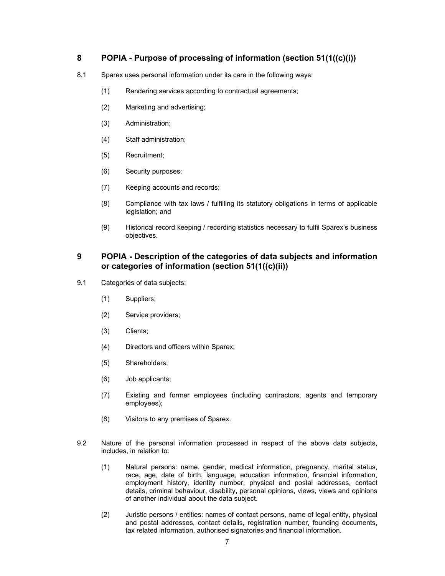# **8 POPIA - Purpose of processing of information (section 51(1((c)(i))**

- 8.1 Sparex uses personal information under its care in the following ways:
	- (1) Rendering services according to contractual agreements;
	- (2) Marketing and advertising;
	- (3) Administration;
	- (4) Staff administration;
	- (5) Recruitment;
	- (6) Security purposes;
	- (7) Keeping accounts and records;
	- (8) Compliance with tax laws / fulfilling its statutory obligations in terms of applicable legislation; and
	- (9) Historical record keeping / recording statistics necessary to fulfil Sparex's business objectives.

# **9 POPIA - Description of the categories of data subjects and information or categories of information (section 51(1((c)(ii))**

- 9.1 Categories of data subjects:
	- (1) Suppliers;
	- (2) Service providers;
	- (3) Clients;
	- (4) Directors and officers within Sparex;
	- (5) Shareholders;
	- (6) Job applicants;
	- (7) Existing and former employees (including contractors, agents and temporary employees);
	- (8) Visitors to any premises of Sparex.
- 9.2 Nature of the personal information processed in respect of the above data subjects, includes, in relation to:
	- (1) Natural persons: name, gender, medical information, pregnancy, marital status, race, age, date of birth, language, education information, financial information, employment history, identity number, physical and postal addresses, contact details, criminal behaviour, disability, personal opinions, views, views and opinions of another individual about the data subject.
	- (2) Juristic persons / entities: names of contact persons, name of legal entity, physical and postal addresses, contact details, registration number, founding documents, tax related information, authorised signatories and financial information.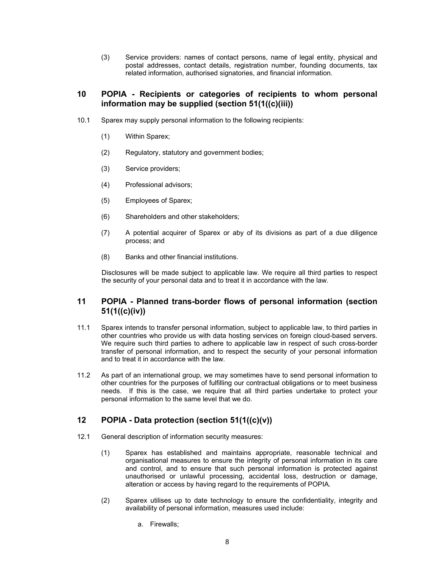(3) Service providers: names of contact persons, name of legal entity, physical and postal addresses, contact details, registration number, founding documents, tax related information, authorised signatories, and financial information.

### **10 POPIA - Recipients or categories of recipients to whom personal information may be supplied (section 51(1((c)(iii))**

- 10.1 Sparex may supply personal information to the following recipients:
	- (1) Within Sparex;
	- (2) Regulatory, statutory and government bodies;
	- (3) Service providers;
	- (4) Professional advisors;
	- (5) Employees of Sparex;
	- (6) Shareholders and other stakeholders;
	- (7) A potential acquirer of Sparex or aby of its divisions as part of a due diligence process; and
	- (8) Banks and other financial institutions.

Disclosures will be made subject to applicable law. We require all third parties to respect the security of your personal data and to treat it in accordance with the law.

### **11 POPIA - Planned trans-border flows of personal information (section 51(1((c)(iv))**

- 11.1 Sparex intends to transfer personal information, subject to applicable law, to third parties in other countries who provide us with data hosting services on foreign cloud-based servers. We require such third parties to adhere to applicable law in respect of such cross-border transfer of personal information, and to respect the security of your personal information and to treat it in accordance with the law.
- 11.2 As part of an international group, we may sometimes have to send personal information to other countries for the purposes of fulfilling our contractual obligations or to meet business needs. If this is the case, we require that all third parties undertake to protect your personal information to the same level that we do.

# **12 POPIA - Data protection (section 51(1((c)(v))**

- 12.1 General description of information security measures:
	- (1) Sparex has established and maintains appropriate, reasonable technical and organisational measures to ensure the integrity of personal information in its care and control, and to ensure that such personal information is protected against unauthorised or unlawful processing, accidental loss, destruction or damage, alteration or access by having regard to the requirements of POPIA.
	- (2) Sparex utilises up to date technology to ensure the confidentiality, integrity and availability of personal information, measures used include:
		- a. Firewalls;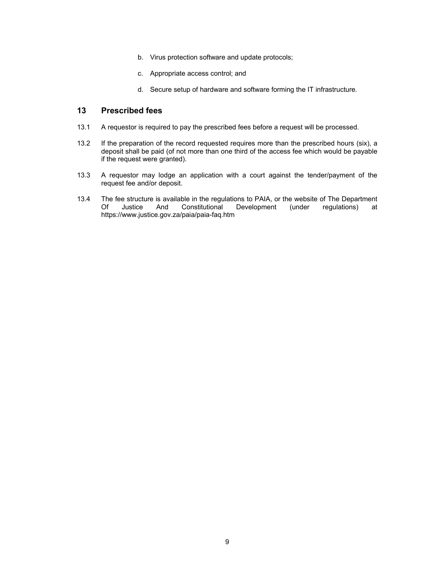- b. Virus protection software and update protocols;
- c. Appropriate access control; and
- d. Secure setup of hardware and software forming the IT infrastructure.

### **13 Prescribed fees**

- 13.1 A requestor is required to pay the prescribed fees before a request will be processed.
- 13.2 If the preparation of the record requested requires more than the prescribed hours (six), a deposit shall be paid (of not more than one third of the access fee which would be payable if the request were granted).
- 13.3 A requestor may lodge an application with a court against the tender/payment of the request fee and/or deposit.
- 13.4 The fee structure is available in the regulations to PAIA, or the website of The Department Of Justice And Constitutional Development (under regulations) at https://www.justice.gov.za/paia/paia-faq.htm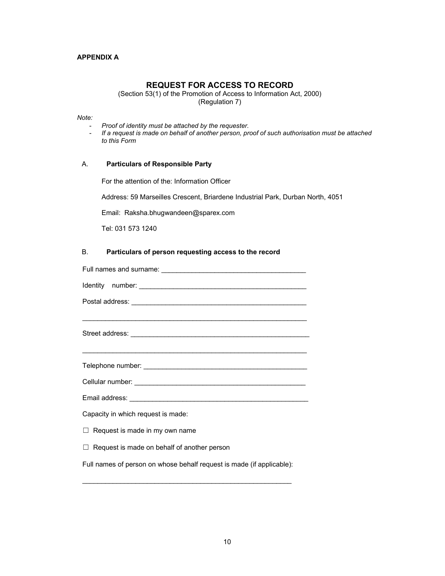#### **APPENDIX A**

#### **REQUEST FOR ACCESS TO RECORD**

(Section 53(1) of the Promotion of Access to Information Act, 2000) (Regulation 7)

*Note:* 

- *Proof of identity must be attached by the requester.*
- *If a request is made on behalf of another person, proof of such authorisation must be attached to this Form*

#### A. **Particulars of Responsible Party**

For the attention of the: Information Officer

Address: 59 Marseilles Crescent, Briardene Industrial Park, Durban North, 4051

Email: Raksha.bhugwandeen@sparex.com

Tel: 031 573 1240

#### B. **Particulars of person requesting access to the record**

| <u> 1989 - Johann Harry Harry Harry Harry Harry Harry Harry Harry Harry Harry Harry Harry Harry Harry Harry Harry</u> |  |  |  |
|-----------------------------------------------------------------------------------------------------------------------|--|--|--|
| <u> 1989 - John Harry Harry Harry Harry Harry Harry Harry Harry Harry Harry Harry Harry Harry Harry Harry Harry H</u> |  |  |  |
|                                                                                                                       |  |  |  |
|                                                                                                                       |  |  |  |
| Capacity in which request is made:                                                                                    |  |  |  |
| $\Box$ Request is made in my own name                                                                                 |  |  |  |
| $\Box$ Request is made on behalf of another person                                                                    |  |  |  |
| Full names of person on whose behalf request is made (if applicable):                                                 |  |  |  |

\_\_\_\_\_\_\_\_\_\_\_\_\_\_\_\_\_\_\_\_\_\_\_\_\_\_\_\_\_\_\_\_\_\_\_\_\_\_\_\_\_\_\_\_\_\_\_\_\_\_\_\_\_\_\_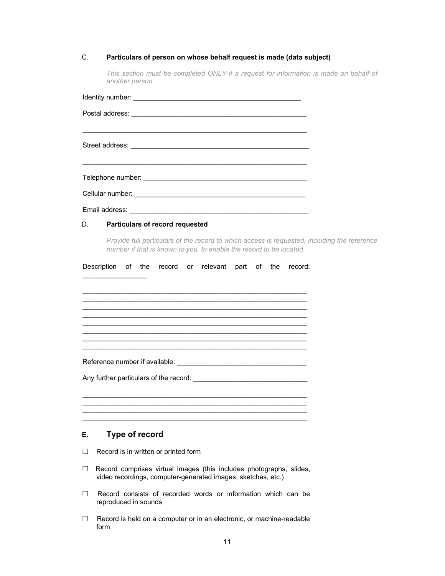#### C. **Particulars of person on whose behalf request is made (data subject)**

*This section must be completed ONLY if a request for information is made on behalf of another person.* 

| Particulars of record requested<br>D.<br>Provide full particulars of the record to which access is requested, including the reference<br>number if that is known to you, to enable the record to be located. |
|--------------------------------------------------------------------------------------------------------------------------------------------------------------------------------------------------------------|
| Description of the record or relevant part of the<br>record:                                                                                                                                                 |
|                                                                                                                                                                                                              |
| Type of record<br>Е.                                                                                                                                                                                         |
| Record is in written or printed form<br>ш                                                                                                                                                                    |
| Record comprises virtual images (this includes photographs, slides,<br>ш<br>video recordings, computer-generated images, sketches, etc.)                                                                     |

- ☐ Record consists of recorded words or information which can be reproduced in sounds
- ☐ Record is held on a computer or in an electronic, or machine-readable form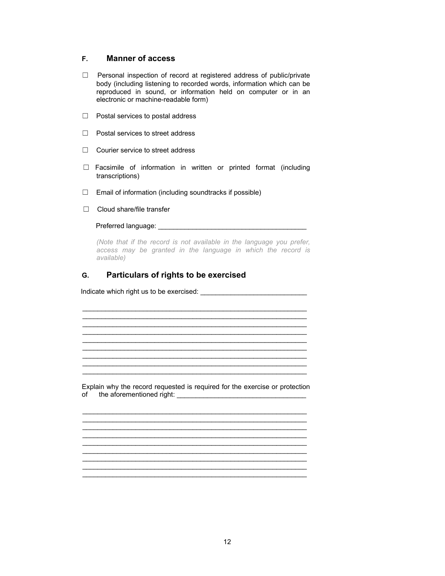#### **F. Manner of access**

- ☐ Personal inspection of record at registered address of public/private body (including listening to recorded words, information which can be reproduced in sound, or information held on computer or in an electronic or machine-readable form)
- ☐ Postal services to postal address
- ☐ Postal services to street address
- $\Box$  Courier service to street address
- □ Facsimile of information in written or printed format (including transcriptions)
- ☐ Email of information (including soundtracks if possible)
- ☐ Cloud share/file transfer

#### Preferred language: \_\_\_\_\_\_\_\_\_\_\_\_\_\_\_\_\_\_\_\_\_\_\_\_\_\_\_\_\_\_\_\_\_\_\_\_\_\_\_

*(Note that if the record is not available in the language you prefer, access may be granted in the language in which the record is available)* 

### **G. Particulars of rights to be exercised**

Indicate which right us to be exercised: \_\_\_\_\_\_\_\_\_\_\_\_\_\_\_\_\_\_\_\_\_\_\_\_\_\_\_\_

Explain why the record requested is required for the exercise or protection of the aforementioned right: \_\_\_\_\_\_\_\_\_\_\_\_\_\_\_\_\_\_\_\_\_\_\_\_\_\_\_\_\_\_\_\_\_\_

 $\_$  , and the set of the set of the set of the set of the set of the set of the set of the set of the set of the set of the set of the set of the set of the set of the set of the set of the set of the set of the set of th \_\_\_\_\_\_\_\_\_\_\_\_\_\_\_\_\_\_\_\_\_\_\_\_\_\_\_\_\_\_\_\_\_\_\_\_\_\_\_\_\_\_\_\_\_\_\_\_\_\_\_\_\_\_\_\_\_\_\_  $\mathcal{L}_\text{max}$  , and the set of the set of the set of the set of the set of the set of the set of the set of the set of the set of the set of the set of the set of the set of the set of the set of the set of the set of the \_\_\_\_\_\_\_\_\_\_\_\_\_\_\_\_\_\_\_\_\_\_\_\_\_\_\_\_\_\_\_\_\_\_\_\_\_\_\_\_\_\_\_\_\_\_\_\_\_\_\_\_\_\_\_\_\_\_\_ \_\_\_\_\_\_\_\_\_\_\_\_\_\_\_\_\_\_\_\_\_\_\_\_\_\_\_\_\_\_\_\_\_\_\_\_\_\_\_\_\_\_\_\_\_\_\_\_\_\_\_\_\_\_\_\_\_\_\_  $\mathcal{L}_\text{max}$ \_\_\_\_\_\_\_\_\_\_\_\_\_\_\_\_\_\_\_\_\_\_\_\_\_\_\_\_\_\_\_\_\_\_\_\_\_\_\_\_\_\_\_\_\_\_\_\_\_\_\_\_\_\_\_\_\_\_\_ \_\_\_\_\_\_\_\_\_\_\_\_\_\_\_\_\_\_\_\_\_\_\_\_\_\_\_\_\_\_\_\_\_\_\_\_\_\_\_\_\_\_\_\_\_\_\_\_\_\_\_\_\_\_\_\_\_\_\_ \_\_\_\_\_\_\_\_\_\_\_\_\_\_\_\_\_\_\_\_\_\_\_\_\_\_\_\_\_\_\_\_\_\_\_\_\_\_\_\_\_\_\_\_\_\_\_\_\_\_\_\_\_\_\_\_\_\_\_

 $\_$  , and the set of the set of the set of the set of the set of the set of the set of the set of the set of the set of the set of the set of the set of the set of the set of the set of the set of the set of the set of th

 $\_$  , and the set of the set of the set of the set of the set of the set of the set of the set of the set of the set of the set of the set of the set of the set of the set of the set of the set of the set of the set of th \_\_\_\_\_\_\_\_\_\_\_\_\_\_\_\_\_\_\_\_\_\_\_\_\_\_\_\_\_\_\_\_\_\_\_\_\_\_\_\_\_\_\_\_\_\_\_\_\_\_\_\_\_\_\_\_\_\_\_  $\mathcal{L}_\text{max}$ \_\_\_\_\_\_\_\_\_\_\_\_\_\_\_\_\_\_\_\_\_\_\_\_\_\_\_\_\_\_\_\_\_\_\_\_\_\_\_\_\_\_\_\_\_\_\_\_\_\_\_\_\_\_\_\_\_\_\_ \_\_\_\_\_\_\_\_\_\_\_\_\_\_\_\_\_\_\_\_\_\_\_\_\_\_\_\_\_\_\_\_\_\_\_\_\_\_\_\_\_\_\_\_\_\_\_\_\_\_\_\_\_\_\_\_\_\_\_ \_\_\_\_\_\_\_\_\_\_\_\_\_\_\_\_\_\_\_\_\_\_\_\_\_\_\_\_\_\_\_\_\_\_\_\_\_\_\_\_\_\_\_\_\_\_\_\_\_\_\_\_\_\_\_\_\_\_\_ \_\_\_\_\_\_\_\_\_\_\_\_\_\_\_\_\_\_\_\_\_\_\_\_\_\_\_\_\_\_\_\_\_\_\_\_\_\_\_\_\_\_\_\_\_\_\_\_\_\_\_\_\_\_\_\_\_\_\_ \_\_\_\_\_\_\_\_\_\_\_\_\_\_\_\_\_\_\_\_\_\_\_\_\_\_\_\_\_\_\_\_\_\_\_\_\_\_\_\_\_\_\_\_\_\_\_\_\_\_\_\_\_\_\_\_\_\_\_